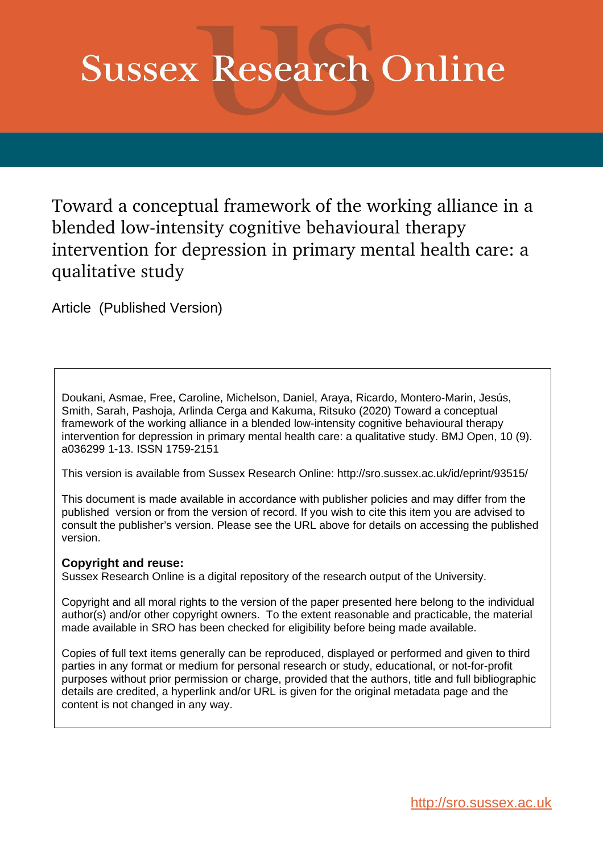# **Sussex Research Online**

Toward a conceptual framework of the working alliance in a blended low-intensity cognitive behavioural therapy intervention for depression in primary mental health care: a qualitative study

Article (Published Version)

Doukani, Asmae, Free, Caroline, Michelson, Daniel, Araya, Ricardo, Montero-Marin, Jesús, Smith, Sarah, Pashoja, Arlinda Cerga and Kakuma, Ritsuko (2020) Toward a conceptual framework of the working alliance in a blended low-intensity cognitive behavioural therapy intervention for depression in primary mental health care: a qualitative study. BMJ Open, 10 (9). a036299 1-13. ISSN 1759-2151

This version is available from Sussex Research Online: http://sro.sussex.ac.uk/id/eprint/93515/

This document is made available in accordance with publisher policies and may differ from the published version or from the version of record. If you wish to cite this item you are advised to consult the publisher's version. Please see the URL above for details on accessing the published version.

### **Copyright and reuse:**

Sussex Research Online is a digital repository of the research output of the University.

Copyright and all moral rights to the version of the paper presented here belong to the individual author(s) and/or other copyright owners. To the extent reasonable and practicable, the material made available in SRO has been checked for eligibility before being made available.

Copies of full text items generally can be reproduced, displayed or performed and given to third parties in any format or medium for personal research or study, educational, or not-for-profit purposes without prior permission or charge, provided that the authors, title and full bibliographic details are credited, a hyperlink and/or URL is given for the original metadata page and the content is not changed in any way.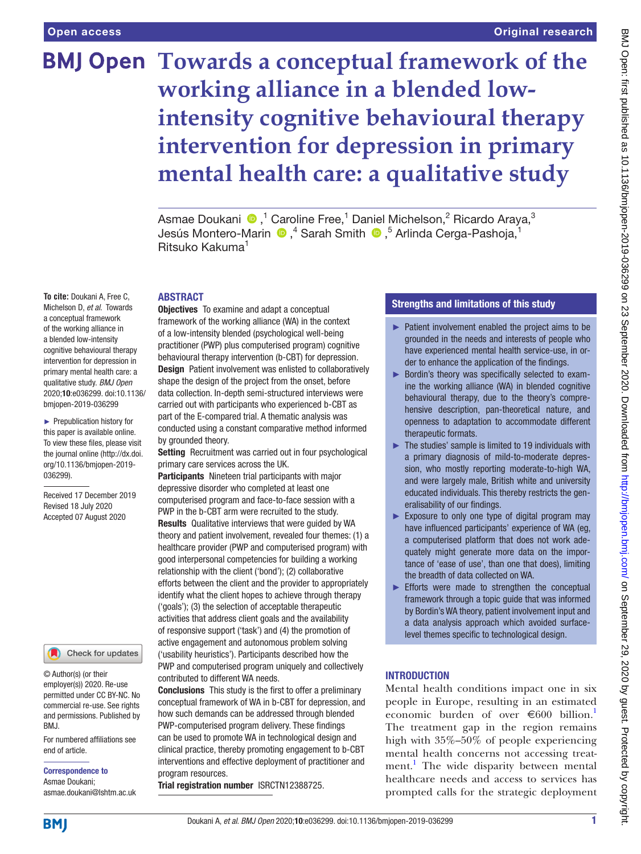## **BMJ Open Towards a conceptual framework of the working alliance in a blended lowintensity cognitive behavioural therapy intervention for depression in primary mental health care: a qualitative study**

AsmaeDoukani ®,<sup>1</sup> Caroline Free,<sup>1</sup> Daniel Michelson,<sup>2</sup> Ricardo Araya,<sup>3</sup> Jesús Montero-Marin ®,<sup>4</sup> Sarah Smith ®,<sup>5</sup> Arlinda Cerga-Pashoja,<sup>1</sup> Ritsuko Kakuma1

### ABSTRACT

**To cite:** Doukani A, Free C, Michelson D, *et al*. Towards a conceptual framework of the working alliance in a blended low-intensity cognitive behavioural therapy intervention for depression in primary mental health care: a qualitative study. *BMJ Open* 2020;10:e036299. doi:10.1136/ bmjopen-2019-036299

► Prepublication history for this paper is available online. To view these files, please visit the journal online (http://dx.doi. org/10.1136/bmjopen-2019- 036299).

Received 17 December 2019 Revised 18 July 2020 Accepted 07 August 2020



© Author(s) (or their employer(s)) 2020. Re-use permitted under CC BY-NC. No commercial re-use. See rights and permissions. Published by BMJ.

For numbered affiliations see end of article.

Correspondence to Asmae Doukani; asmae.doukani@lshtm.ac.uk **Objectives** To examine and adapt a conceptual framework of the working alliance (WA) in the context of a low-intensity blended (psychological well-being practitioner (PWP) plus computerised program) cognitive behavioural therapy intervention (b-CBT) for depression. **Design** Patient involvement was enlisted to collaboratively shape the design of the project from the onset, before data collection. In-depth semi-structured interviews were carried out with participants who experienced b-CBT as part of the E-compared trial. A thematic analysis was conducted using a constant comparative method informed by grounded theory.

Setting Recruitment was carried out in four psychological primary care services across the UK.

Participants Nineteen trial participants with major depressive disorder who completed at least one computerised program and face-to-face session with a PWP in the b-CBT arm were recruited to the study. Results Qualitative interviews that were guided by WA theory and patient involvement, revealed four themes: (1) a healthcare provider (PWP and computerised program) with good interpersonal competencies for building a working relationship with the client ('bond'); (2) collaborative efforts between the client and the provider to appropriately identify what the client hopes to achieve through therapy ('goals'); (3) the selection of acceptable therapeutic activities that address client goals and the availability of responsive support ('task') and (4) the promotion of active engagement and autonomous problem solving ('usability heuristics'). Participants described how the PWP and computerised program uniquely and collectively contributed to different WA needs.

Conclusions This study is the first to offer a preliminary conceptual framework of WA in b-CBT for depression, and how such demands can be addressed through blended PWP-computerised program delivery. These findings can be used to promote WA in technological design and clinical practice, thereby promoting engagement to b-CBT interventions and effective deployment of practitioner and program resources.

Trial registration number <ISRCTN12388725>.

### Strengths and limitations of this study

- ► Patient involvement enabled the project aims to be grounded in the needs and interests of people who have experienced mental health service-use, in order to enhance the application of the findings.
- ► Bordin's theory was specifically selected to examine the working alliance (WA) in blended cognitive behavioural therapy, due to the theory's comprehensive description, pan-theoretical nature, and openness to adaptation to accommodate different therapeutic formats.
- $\blacktriangleright$  The studies' sample is limited to 19 individuals with a primary diagnosis of mild-to-moderate depression, who mostly reporting moderate-to-high WA, and were largely male, British white and university educated individuals. This thereby restricts the generalisability of our findings.
- $\blacktriangleright$  Exposure to only one type of digital program may have influenced participants' experience of WA (eg, a computerised platform that does not work adequately might generate more data on the importance of 'ease of use', than one that does), limiting the breadth of data collected on WA.
- ► Efforts were made to strengthen the conceptual framework through a topic guide that was informed by Bordin's WA theory, patient involvement input and a data analysis approach which avoided surfacelevel themes specific to technological design.

### **INTRODUCTION**

Mental health conditions impact one in six people in Europe, resulting in an estimated economic burden of over  $\epsilon$ 600 billion.<sup>1</sup> The treatment gap in the region remains high with 35%–50% of people experiencing mental health concerns not accessing treat-ment.<sup>[1](#page-12-0)</sup> The wide disparity between mental healthcare needs and access to services has prompted calls for the strategic deployment

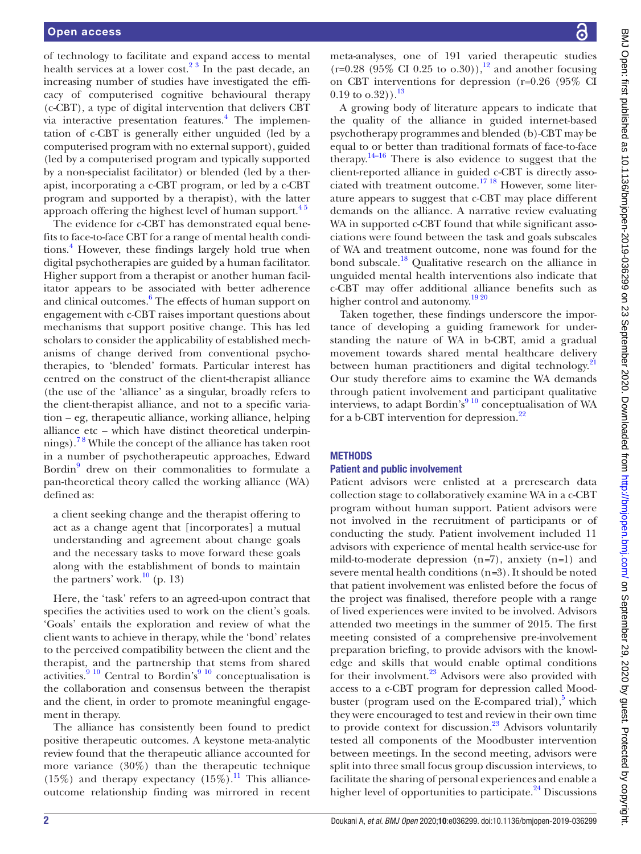of technology to facilitate and expand access to mental health services at a lower cost.<sup>23</sup> In the past decade, an increasing number of studies have investigated the efficacy of computerised cognitive behavioural therapy (c-CBT), a type of digital intervention that delivers CBT via interactive presentation features.<sup>4</sup> The implementation of c-CBT is generally either unguided (led by a computerised program with no external support), guided (led by a computerised program and typically supported by a non-specialist facilitator) or blended (led by a therapist, incorporating a c-CBT program, or led by a c-CBT program and supported by a therapist), with the latter approach offering the highest level of human support.<sup>45</sup>

The evidence for c-CBT has demonstrated equal benefits to face-to-face CBT for a range of mental health conditions.<sup>4</sup> However, these findings largely hold true when digital psychotherapies are guided by a human facilitator. Higher support from a therapist or another human facilitator appears to be associated with better adherence and clinical outcomes.<sup>[6](#page-12-3)</sup> The effects of human support on engagement with c-CBT raises important questions about mechanisms that support positive change. This has led scholars to consider the applicability of established mechanisms of change derived from conventional psychotherapies, to 'blended' formats. Particular interest has centred on the construct of the client-therapist alliance (the use of the 'alliance' as a singular, broadly refers to the client-therapist alliance, and not to a specific variation – eg, therapeutic alliance, working alliance, helping alliance etc – which have distinct theoretical underpinnings).[7 8](#page-12-4) While the concept of the alliance has taken root in a number of psychotherapeutic approaches, Edward Bordin<sup>[9](#page-12-5)</sup> drew on their commonalities to formulate a pan-theoretical theory called the working alliance (WA) defined as:

a client seeking change and the therapist offering to act as a change agent that [incorporates] a mutual understanding and agreement about change goals and the necessary tasks to move forward these goals along with the establishment of bonds to maintain the partners' work. $^{10}$  (p. 13)

Here, the 'task' refers to an agreed-upon contract that specifies the activities used to work on the client's goals. 'Goals' entails the exploration and review of what the client wants to achieve in therapy, while the 'bond' relates to the perceived compatibility between the client and the therapist, and the partnership that stems from shared activities.<sup>9 10</sup> Central to Bordin's<sup>9 10</sup> conceptualisation is the collaboration and consensus between the therapist and the client, in order to promote meaningful engagement in therapy.

The alliance has consistently been found to predict positive therapeutic outcomes. A keystone meta-analytic review found that the therapeutic alliance accounted for more variance (30%) than the therapeutic technique  $(15\%)$  and therapy expectancy  $(15\%).$ <sup>11</sup> This allianceoutcome relationship finding was mirrored in recent

meta-analyses, one of 191 varied therapeutic studies  $(r=0.28 \ (95\% \ CI \ 0.25 \ to \ 0.30))$ ,<sup>12</sup> and another focusing on CBT interventions for depression (r=0.26 (95% CI  $(0.19 \text{ to } 0.32))$ .<sup>13</sup>

A growing body of literature appears to indicate that the quality of the alliance in guided internet-based psychotherapy programmes and blended (b)-CBT may be equal to or better than traditional formats of face-to-face therapy. $14-16$  There is also evidence to suggest that the client-reported alliance in guided c-CBT is directly associated with treatment outcome.[17 18](#page-12-11) However, some literature appears to suggest that c-CBT may place different demands on the alliance. A narrative review evaluating WA in supported c-CBT found that while significant associations were found between the task and goals subscales of WA and treatment outcome, none was found for the bond subscale.<sup>[18](#page-12-12)</sup> Qualitative research on the alliance in unguided mental health interventions also indicate that c-CBT may offer additional alliance benefits such as higher control and autonomy.<sup>[19 20](#page-12-13)</sup>

Taken together, these findings underscore the importance of developing a guiding framework for understanding the nature of WA in b-CBT, amid a gradual movement towards shared mental healthcare delivery between human practitioners and digital technology.<sup>[21](#page-13-0)</sup> Our study therefore aims to examine the WA demands through patient involvement and participant qualitative interviews, to adapt Bordin's $910$  conceptualisation of WA for a b-CBT intervention for depression.[22](#page-13-1)

### **METHODS**

### Patient and public involvement

Patient advisors were enlisted at a preresearch data collection stage to collaboratively examine WA in a c-CBT program without human support. Patient advisors were not involved in the recruitment of participants or of conducting the study. Patient involvement included 11 advisors with experience of mental health service-use for mild-to-moderate depression (n*=*7), anxiety (n*=*1) and severe mental health conditions (n*=*3). It should be noted that patient involvement was enlisted before the focus of the project was finalised, therefore people with a range of lived experiences were invited to be involved. Advisors attended two meetings in the summer of 2015. The first meeting consisted of a comprehensive pre-involvement preparation briefing, to provide advisors with the knowledge and skills that would enable optimal conditions for their involvment.<sup>23</sup> Advisors were also provided with access to a c-CBT program for depression called Moodbuster (program used on the E-compared trial), $5$  which they were encouraged to test and review in their own time to provide context for discussion. $23$  Advisors voluntarily tested all components of the Moodbuster intervention between meetings. In the second meeting, advisors were split into three small focus group discussion interviews, to facilitate the sharing of personal experiences and enable a higher level of opportunities to participate. $^{24}$  Discussions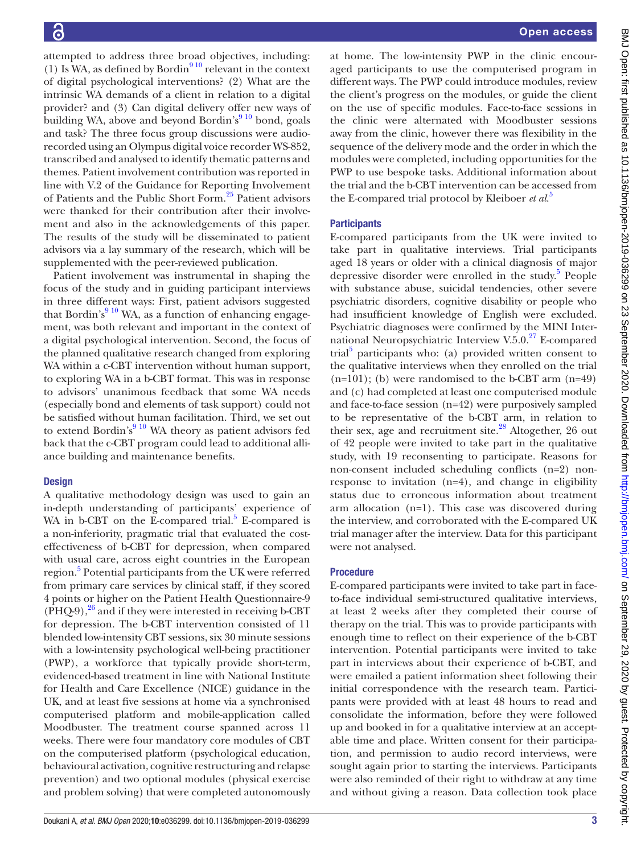attempted to address three broad objectives, including: (1) Is WA, as defined by Bordin<sup>910</sup> relevant in the context of digital psychological interventions? (2) What are the intrinsic WA demands of a client in relation to a digital provider? and (3) Can digital delivery offer new ways of building WA, above and beyond Bordin's $910$  bond, goals and task? The three focus group discussions were audiorecorded using an Olympus digital voice recorder WS-852, transcribed and analysed to identify thematic patterns and themes. Patient involvement contribution was reported in line with V.2 of the Guidance for Reporting Involvement of Patients and the Public Short Form.<sup>25</sup> Patient advisors were thanked for their contribution after their involvement and also in the acknowledgements of this paper. The results of the study will be disseminated to patient advisors via a lay summary of the research, which will be supplemented with the peer-reviewed publication.

Patient involvement was instrumental in shaping the focus of the study and in guiding participant interviews in three different ways: First, patient advisors suggested that Bordin's<sup>9 10</sup> WA, as a function of enhancing engagement, was both relevant and important in the context of a digital psychological intervention. Second, the focus of the planned qualitative research changed from exploring WA within a c-CBT intervention without human support, to exploring WA in a b-CBT format. This was in response to advisors' unanimous feedback that some WA needs (especially bond and elements of task support) could not be satisfied without human facilitation. Third, we set out to extend Bordin's $910$  WA theory as patient advisors fed back that the c-CBT program could lead to additional alliance building and maintenance benefits.

### **Design**

A qualitative methodology design was used to gain an in-depth understanding of participants' experience of WA in b-CBT on the E-compared trial.<sup>5</sup> E-compared is a non-inferiority, pragmatic trial that evaluated the costeffectiveness of b-CBT for depression, when compared with usual care, across eight countries in the European region.<sup>[5](#page-12-14)</sup> Potential participants from the UK were referred from primary care services by clinical staff, if they scored 4 points or higher on the Patient Health Questionnaire-9  $(PHQ-9)$ ,  $^{26}$  $^{26}$  $^{26}$  and if they were interested in receiving b-CBT for depression. The b-CBT intervention consisted of 11 blended low-intensity CBT sessions, six 30 minute sessions with a low-intensity psychological well-being practitioner (PWP), a workforce that typically provide short-term, evidenced-based treatment in line with National Institute for Health and Care Excellence (NICE) guidance in the UK, and at least five sessions at home via a synchronised computerised platform and mobile-application called Moodbuster. The treatment course spanned across 11 weeks. There were four mandatory core modules of CBT on the computerised platform (psychological education, behavioural activation, cognitive restructuring and relapse prevention) and two optional modules (physical exercise and problem solving) that were completed autonomously

at home. The low-intensity PWP in the clinic encouraged participants to use the computerised program in different ways. The PWP could introduce modules, review the client's progress on the modules, or guide the client on the use of specific modules. Face-to-face sessions in the clinic were alternated with Moodbuster sessions away from the clinic, however there was flexibility in the sequence of the delivery mode and the order in which the modules were completed, including opportunities for the PWP to use bespoke tasks. Additional information about the trial and the b-CBT intervention can be accessed from the E-compared trial protocol by Kleiboer *et al*. [5](#page-12-14)

### **Participants**

E-compared participants from the UK were invited to take part in qualitative interviews. Trial participants aged 18 years or older with a clinical diagnosis of major depressive disorder were enrolled in the study.<sup>5</sup> People with substance abuse, suicidal tendencies, other severe psychiatric disorders, cognitive disability or people who had insufficient knowledge of English were excluded. Psychiatric diagnoses were confirmed by the MINI International Neuropsychiatric Interview V.5.0.<sup>27</sup> E-compared trial<sup>[5](#page-12-14)</sup> participants who: (a) provided written consent to the qualitative interviews when they enrolled on the trial  $(n=101)$ ; (b) were randomised to the b-CBT arm  $(n=49)$ and (c) had completed at least one computerised module and face-to-face session (n=42) were purposively sampled to be representative of the b-CBT arm, in relation to their sex, age and recruitment site. $^{28}$  $^{28}$  $^{28}$  Altogether, 26 out of 42 people were invited to take part in the qualitative study, with 19 reconsenting to participate. Reasons for non-consent included scheduling conflicts (n=2) nonresponse to invitation (n=4), and change in eligibility status due to erroneous information about treatment arm allocation (n=1). This case was discovered during the interview, and corroborated with the E-compared UK trial manager after the interview. Data for this participant were not analysed.

### Procedure

E-compared participants were invited to take part in faceto-face individual semi-structured qualitative interviews, at least 2 weeks after they completed their course of therapy on the trial. This was to provide participants with enough time to reflect on their experience of the b-CBT intervention. Potential participants were invited to take part in interviews about their experience of b-CBT, and were emailed a patient information sheet following their initial correspondence with the research team. Participants were provided with at least 48 hours to read and consolidate the information, before they were followed up and booked in for a qualitative interview at an acceptable time and place. Written consent for their participation, and permission to audio record interviews, were sought again prior to starting the interviews. Participants were also reminded of their right to withdraw at any time and without giving a reason. Data collection took place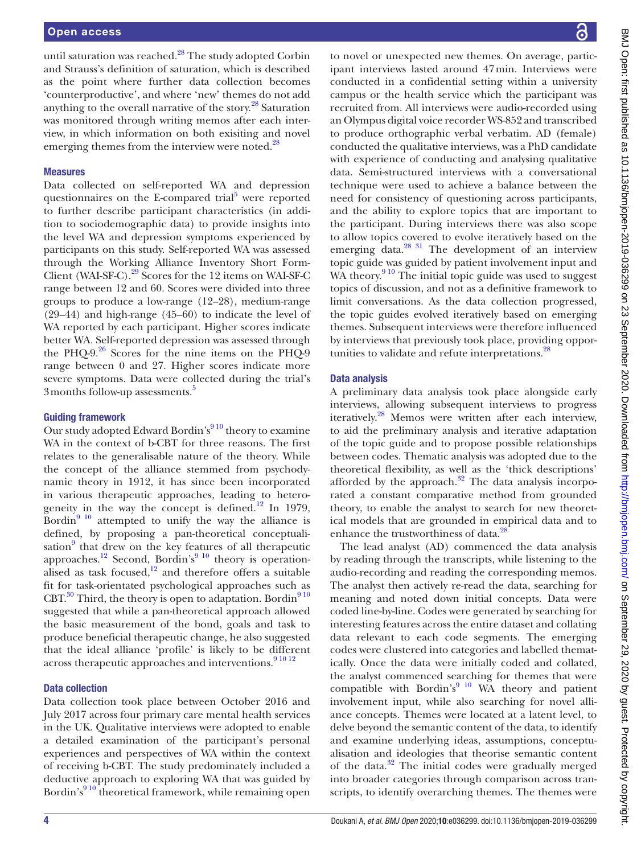until saturation was reached.[28](#page-13-7) The study adopted Corbin and Strauss's definition of saturation, which is described as the point where further data collection becomes 'counterproductive', and where 'new' themes do not add anything to the overall narrative of the story.<sup>[28](#page-13-7)</sup> Saturation was monitored through writing memos after each interview, in which information on both exisiting and novel emerging themes from the interview were noted.<sup>28</sup>

### Measures

Data collected on self-reported WA and depression questionnaires on the E-compared trial<sup>[5](#page-12-14)</sup> were reported to further describe participant characteristics (in addition to sociodemographic data) to provide insights into the level WA and depression symptoms experienced by participants on this study. Self-reported WA was assessed through the Working Alliance Inventory Short Form-Client (WAI-SF-C)[.29](#page-13-8) Scores for the 12 items on WAI-SF-C range between 12 and 60. Scores were divided into three groups to produce a low-range (12–28), medium-range (29–44) and high-range (45–60) to indicate the level of WA reported by each participant. Higher scores indicate better WA. Self-reported depression was assessed through the PHQ-9. $26$  Scores for the nine items on the PHQ-9 range between 0 and 27. Higher scores indicate more severe symptoms. Data were collected during the trial's 3 months follow-up assessments.<sup>[5](#page-12-14)</sup>

### Guiding framework

Our study adopted Edward Bordin's<sup>910</sup> theory to examine WA in the context of b-CBT for three reasons. The first relates to the generalisable nature of the theory. While the concept of the alliance stemmed from psychodynamic theory in 1912, it has since been incorporated in various therapeutic approaches, leading to heterogeneity in the way the concept is defined.<sup>12</sup> In 1979, Bordin $9^{10}$  attempted to unify the way the alliance is defined, by proposing a pan-theoretical conceptuali-sation<sup>[9](#page-12-5)</sup> that drew on the key features of all therapeutic approaches.<sup>12</sup> Second, Bordin's<sup>9</sup> <sup>10</sup> theory is operationalised as task focused, $12$  and therefore offers a suitable fit for task-orientated psychological approaches such as  $CBT<sup>30</sup>$  Third, the theory is open to adaptation. Bordin $910$ suggested that while a pan-theoretical approach allowed the basic measurement of the bond, goals and task to produce beneficial therapeutic change, he also suggested that the ideal alliance 'profile' is likely to be different across therapeutic approaches and interventions.<sup>[9 10 12](#page-12-5)</sup>

### Data collection

Data collection took place between October 2016 and July 2017 across four primary care mental health services in the UK. Qualitative interviews were adopted to enable a detailed examination of the participant's personal experiences and perspectives of WA within the context of receiving b-CBT. The study predominately included a deductive approach to exploring WA that was guided by Bordin's<sup>910</sup> theoretical framework, while remaining open

to novel or unexpected new themes. On average, participant interviews lasted around 47min. Interviews were conducted in a confidential setting within a university campus or the health service which the participant was recruited from. All interviews were audio-recorded using an Olympus digital voice recorder WS-852 and transcribed to produce orthographic verbal verbatim. AD (female) conducted the qualitative interviews, was a PhD candidate with experience of conducting and analysing qualitative data. Semi-structured interviews with a conversational technique were used to achieve a balance between the need for consistency of questioning across participants, and the ability to explore topics that are important to the participant. During interviews there was also scope to allow topics covered to evolve iteratively based on the emerging data.<sup>28 31</sup> The development of an interview topic guide was guided by patient involvement input and WA theory. $9^{10}$  The initial topic guide was used to suggest topics of discussion, and not as a definitive framework to limit conversations. As the data collection progressed, the topic guides evolved iteratively based on emerging themes. Subsequent interviews were therefore influenced by interviews that previously took place, providing oppor-tunities to validate and refute interpretations.<sup>[28](#page-13-7)</sup>

### Data analysis

A preliminary data analysis took place alongside early interviews, allowing subsequent interviews to progress iteratively.<sup>28</sup> Memos were written after each interview, to aid the preliminary analysis and iterative adaptation of the topic guide and to propose possible relationships between codes. Thematic analysis was adopted due to the theoretical flexibility, as well as the 'thick descriptions' afforded by the approach. $32$  The data analysis incorporated a constant comparative method from grounded theory, to enable the analyst to search for new theoretical models that are grounded in empirical data and to enhance the trustworthiness of data.<sup>[28](#page-13-7)</sup>

The lead analyst (AD) commenced the data analysis by reading through the transcripts, while listening to the audio-recording and reading the corresponding memos. The analyst then actively re-read the data, searching for meaning and noted down initial concepts. Data were coded line-by-line. Codes were generated by searching for interesting features across the entire dataset and collating data relevant to each code segments. The emerging codes were clustered into categories and labelled thematically. Once the data were initially coded and collated, the analyst commenced searching for themes that were compatible with Bordin's<sup>[9 10](#page-12-5)</sup> WA theory and patient involvement input, while also searching for novel alliance concepts. Themes were located at a latent level, to delve beyond the semantic content of the data, to identify and examine underlying ideas, assumptions, conceptualisation and ideologies that theorise semantic content of the data. $32$  The initial codes were gradually merged into broader categories through comparison across transcripts, to identify overarching themes. The themes were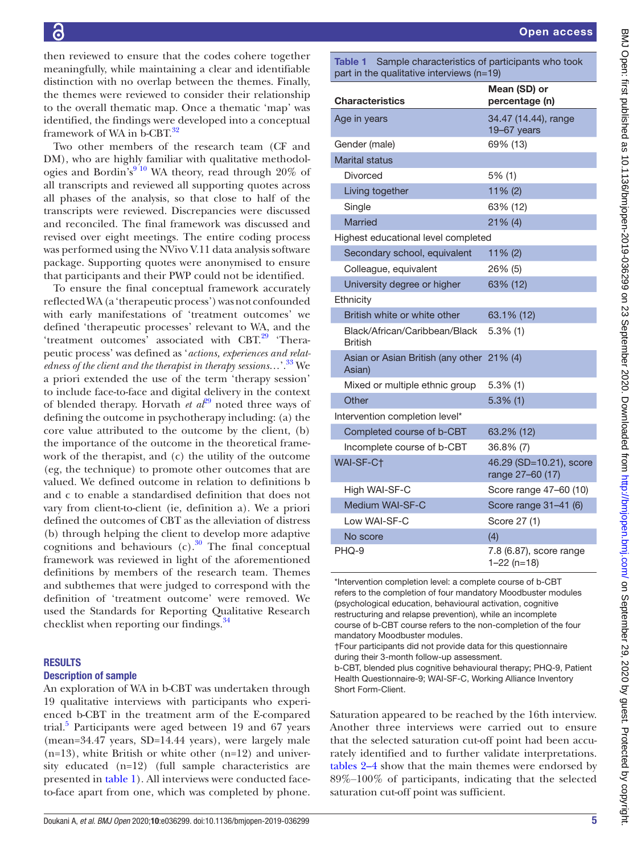then reviewed to ensure that the codes cohere together meaningfully, while maintaining a clear and identifiable distinction with no overlap between the themes. Finally, the themes were reviewed to consider their relationship to the overall thematic map. Once a thematic 'map' was identified, the findings were developed into a conceptual framework of WA in b-CBT.<sup>[32](#page-13-10)</sup>

Two other members of the research team (CF and DM), who are highly familiar with qualitative methodologies and Bordin's<sup>910</sup> WA theory, read through 20% of all transcripts and reviewed all supporting quotes across all phases of the analysis, so that close to half of the transcripts were reviewed. Discrepancies were discussed and reconciled. The final framework was discussed and revised over eight meetings. The entire coding proc was performed using the NVivo V.11 data analysis softw package. Supporting quotes were anonymised to ensure that participants and their PWP could not be identified.

To ensure the final conceptual framework accurat reflected WA (a 'therapeutic process') was not confound with early manifestations of 'treatment outcomes' defined 'therapeutic processes' relevant to WA, and 'treatment outcomes' associated with CBT. $^{29}$  'The peutic process' was defined as '*actions, experiences and relatedness of the client and the therapist in therapy sessions...*'.<sup>33</sup> a priori extended the use of the term 'therapy session' to include face-to-face and digital delivery in the cont of blended therapy. Horvath *et al*<sup>[29](#page-13-8)</sup> noted three ways defining the outcome in psychotherapy including:  $(a)$ core value attributed to the outcome by the client, the importance of the outcome in the theoretical framework of the therapist, and  $(c)$  the utility of the outcome  $(eg, the technique)$  to promote other outcomes that valued. We defined outcome in relation to definition and c to enable a standardised definition that does not vary from client-to-client (ie, definition a). We a pri defined the outcomes of CBT as the alleviation of distr (b) through helping the client to develop more adaptive cognitions and behaviours  $(c)$ .<sup>30</sup> The final conceptual framework was reviewed in light of the aforementioned definitions by members of the research team. Themes and subthemes that were judged to correspond with the definition of 'treatment outcome' were removed. We used the Standards for Reporting Qualitative Research checklist when reporting our findings.<sup>34</sup>

### RESULTS

### Description of sample

An exploration of WA in b-CBT was undertaken through 19 qualitative interviews with participants who experienced b-CBT in the treatment arm of the E-compared trial.<sup>[5](#page-12-14)</sup> Participants were aged between 19 and  $67$  years (mean=34.47 years, SD=14.44 years), were largely male  $(n=13)$ , white British or white other  $(n=12)$  and university educated (n=12) (full sample characteristics are presented in [table](#page-5-0) 1). All interviews were conducted faceto-face apart from one, which was completed by phone.

**Characteristics** 

Marital status

| ess:             | Highest educational level completed                 |                                             |  |
|------------------|-----------------------------------------------------|---------------------------------------------|--|
| are              | Secondary school, equivalent                        | $11\% (2)$                                  |  |
| ure              | Colleague, equivalent                               | 26% (5)                                     |  |
| d.<br>tely       | University degree or higher                         | 63% (12)                                    |  |
| $_{\rm led}$     | Ethnicity                                           |                                             |  |
| we               | British white or white other                        | 63.1% (12)                                  |  |
| the<br>era-      | Black/African/Caribbean/Black<br><b>British</b>     | $5.3\%$ (1)                                 |  |
| ≀lat-<br>We      | Asian or Asian British (any other 21% (4)<br>Asian) |                                             |  |
| on'<br>ext       | Mixed or multiple ethnic group                      | $5.3\%$ (1)                                 |  |
| . of             | Other                                               | $5.3\%$ (1)                                 |  |
| the              | Intervention completion level*                      |                                             |  |
| (b)              | Completed course of b-CBT                           | 63.2% (12)                                  |  |
| ne-              | Incomplete course of b-CBT                          | 36.8% (7)                                   |  |
| me<br>are        | WAI-SF-C†                                           | 46.29 (SD=10.21), score<br>range 27-60 (17) |  |
| s b<br>not       | High WAI-SF-C                                       | Score range 47-60 (10)                      |  |
| iori             | Medium WAI-SF-C                                     | Score range 31-41 (6)                       |  |
| ess <sup>-</sup> | Low WAI-SF-C                                        | Score 27 (1)                                |  |

<span id="page-5-0"></span>Table 1 Sample characteristics of participants who took

Age in years 34.47 (14.44), range

part in the qualitative interviews (n=19)

Gender (male) 69% (13)

Divorced 5% (1) Living together 11% (2)

No score (4) PHQ-9 7.8 (6.87), score range 1–22 (n=18) \*Intervention completion level: a complete course of b-CBT refers to the completion of four mandatory Moodbuster modules

(psychological education, behavioural activation, cognitive restructuring and relapse prevention), while an incomplete course of b-CBT course refers to the non-completion of the four mandatory Moodbuster modules.

†Four participants did not provide data for this questionnaire during their 3-month follow-up assessment.

b-CBT, blended plus cognitive behavioural therapy; PHQ-9, Patient Health Questionnaire-9; WAI-SF-C, Working Alliance Inventory Short Form-Client.

Saturation appeared to be reached by the 16th interview. Another three interviews were carried out to ensure that the selected saturation cut-off point had been accurately identified and to further validate interpretations. [tables](#page-6-0) 2–4 show that the main themes were endorsed by 89%‒100% of participants, indicating that the selected saturation cut-off point was sufficient.

Mean (SD) or percentage (n)

19–67 years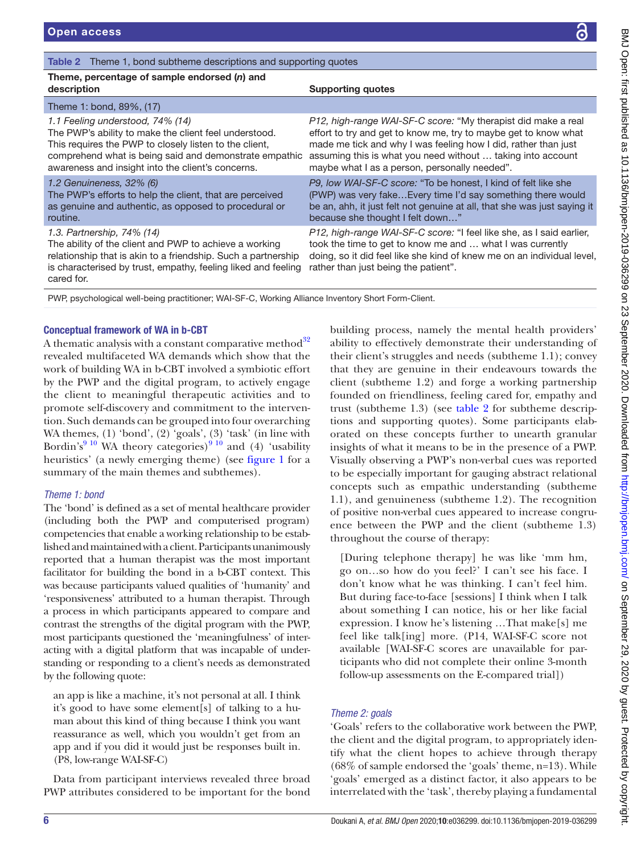### <span id="page-6-0"></span>Table 2 Theme 1, bond subtheme descriptions and supporting quotes

### Theme, percentage of sample endorsed (*n*) and description and the state of the Supporting quotes of the Supporting quotes

|  |  | <b>Suppor</b> |
|--|--|---------------|
|  |  |               |
|  |  |               |
|  |  |               |

*1.1 Feeling understood, 74% (14)* The PWP's ability to make the client feel understood. This requires the PWP to closely listen to the client, comprehend what is being said and demonstrate empathic awareness and insight into the client's concerns.

### *1.2 Genuineness, 32% (6)*

Theme 1: bond, 89%, (17)

The PWP's efforts to help the client, that are perceived as genuine and authentic, as opposed to procedural or routine.

### *1.3. Partnership, 74% (14)*

The ability of the client and PWP to achieve a working relationship that is akin to a friendship. Such a partnership is characterised by trust, empathy, feeling liked and feeling cared for.

*P12, high-range WAI-SF-C score:* "My therapist did make a real effort to try and get to know me, try to maybe get to know what made me tick and why I was feeling how I did, rather than just assuming this is what you need without … taking into account maybe what I as a person, personally needed".

*P9, low WAI-SF-C score:* "To be honest, I kind of felt like she (PWP) was very fake…Every time I'd say something there would be an, ahh, it just felt not genuine at all, that she was just saying it because she thought I felt down…"

*P12, high-range WAI-SF-C score:* "I feel like she, as I said earlier, took the time to get to know me and … what I was currently doing, so it did feel like she kind of knew me on an individual level, rather than just being the patient".

PWP, psychological well-being practitioner; WAI-SF-C, Working Alliance Inventory Short Form-Client.

### Conceptual framework of WA in b-CBT

A thematic analysis with a constant comparative method $32$ revealed multifaceted WA demands which show that the work of building WA in b-CBT involved a symbiotic effort by the PWP and the digital program, to actively engage the client to meaningful therapeutic activities and to promote self-discovery and commitment to the intervention. Such demands can be grouped into four overarching WA themes, (1) 'bond', (2) 'goals', (3) 'task' (in line with Bordin's<sup>[9 10](#page-12-5)</sup> WA theory categories)<sup>9 10</sup> and (4) 'usability heuristics' (a newly emerging theme) (see [figure](#page-9-0) 1 for a summary of the main themes and subthemes).

### *Theme 1: bond*

The 'bond' is defined as a set of mental healthcare provider (including both the PWP and computerised program) competencies that enable a working relationship to be established and maintained with a client. Participants unanimously reported that a human therapist was the most important facilitator for building the bond in a b-CBT context. This was because participants valued qualities of 'humanity' and 'responsiveness' attributed to a human therapist. Through a process in which participants appeared to compare and contrast the strengths of the digital program with the PWP, most participants questioned the 'meaningfulness' of interacting with a digital platform that was incapable of understanding or responding to a client's needs as demonstrated by the following quote:

an app is like a machine, it's not personal at all. I think it's good to have some element[s] of talking to a human about this kind of thing because I think you want reassurance as well, which you wouldn't get from an app and if you did it would just be responses built in. (P8, low-range WAI-SF-C)

Data from participant interviews revealed three broad PWP attributes considered to be important for the bond building process, namely the mental health providers' ability to effectively demonstrate their understanding of their client's struggles and needs (subtheme 1.1); convey that they are genuine in their endeavours towards the client (subtheme 1.2) and forge a working partnership founded on friendliness, feeling cared for, empathy and trust (subtheme 1.3) (see [table](#page-6-0) 2 for subtheme descriptions and supporting quotes). Some participants elaborated on these concepts further to unearth granular insights of what it means to be in the presence of a PWP. Visually observing a PWP's non-verbal cues was reported to be especially important for gauging abstract relational concepts such as empathic understanding (subtheme 1.1), and genuineness (subtheme 1.2). The recognition of positive non-verbal cues appeared to increase congruence between the PWP and the client (subtheme 1.3) throughout the course of therapy:

[During telephone therapy] he was like 'mm hm, go on…so how do you feel?' I can't see his face. I don't know what he was thinking. I can't feel him. But during face-to-face [sessions] I think when I talk about something I can notice, his or her like facial expression. I know he's listening …That make[s] me feel like talk[ing] more. (P14, WAI-SF-C score not available [WAI-SF-C scores are unavailable for participants who did not complete their online 3-month follow-up assessments on the E-compared trial])

### *Theme 2: goals*

'Goals' refers to the collaborative work between the PWP, the client and the digital program, to appropriately identify what the client hopes to achieve through therapy (68% of sample endorsed the 'goals' theme, n=13). While 'goals' emerged as a distinct factor, it also appears to be interrelated with the 'task', thereby playing a fundamental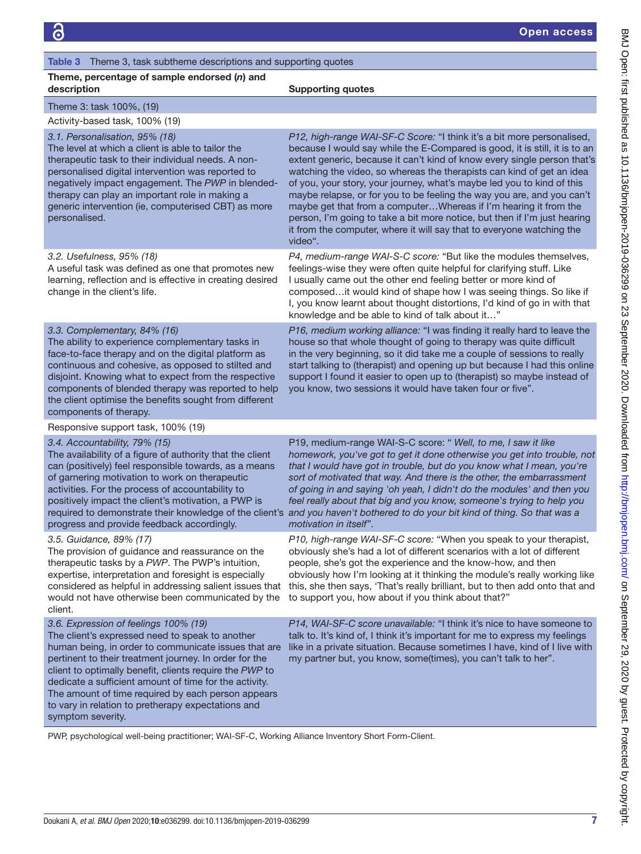### <span id="page-7-0"></span>Table 3 Theme 3, task subtheme descriptions and supporting quotes

### Theme, percentage of sample endorsed (*n*) and description and the state of the Supporting quotes of the Supporting quotes

| Theme 3: task 100%, (19)       |  |
|--------------------------------|--|
| Activity-based task, 100% (19) |  |

### *3.1. Personalisation, 95% (18)*

The level at which a client is able to tailor the therapeutic task to their individual needs. A nonpersonalised digital intervention was reported to negatively impact engagement. The *PWP* in blendedtherapy can play an important role in making a generic intervention (ie, computerised CBT) as more personalised.

### *3.2. Usefulness, 95% (18)*

A useful task was defined as one that promotes new learning, reflection and is effective in creating desired change in the client's life.

*P12, high-range WAI-SF-C Score:* "I think it's a bit more personalised, because I would say while the E-Compared is good, it is still, it is to an extent generic, because it can't kind of know every single person that's watching the video, so whereas the therapists can kind of get an idea of you, your story, your journey, what's maybe led you to kind of this maybe relapse, or for you to be feeling the way you are, and you can't maybe get that from a computer…Whereas if I'm hearing it from the person, I'm going to take a bit more notice, but then if I'm just hearing it from the computer, where it will say that to everyone watching the video".

*P4, medium-range WAI-S-C score:* "But like the modules themselves, feelings-wise they were often quite helpful for clarifying stuff. Like I usually came out the other end feeling better or more kind of composed…it would kind of shape how I was seeing things. So like if I, you know learnt about thought distortions, I'd kind of go in with that knowledge and be able to kind of talk about it…"

*P16, medium working alliance:* "I was finding it really hard to leave the house so that whole thought of going to therapy was quite difficult in the very beginning, so it did take me a couple of sessions to really start talking to (therapist) and opening up but because I had this online support I found it easier to open up to (therapist) so maybe instead of

you know, two sessions it would have taken four or five".

### *3.3. Complementary, 84% (16)*

The ability to experience complementary tasks in face-to-face therapy and on the digital platform as continuous and cohesive, as opposed to stilted and disjoint. Knowing what to expect from the respective components of blended therapy was reported to help the client optimise the benefits sought from different components of therapy.

Responsive support task, 100% (19)

### *3.4. Accountability, 79% (15)*

The availability of a figure of authority that the client can (positively) feel responsible towards, as a means of garnering motivation to work on therapeutic activities. For the process of accountability to positively impact the client's motivation, a PWP is required to demonstrate their knowledge of the client's progress and provide feedback accordingly.

### *3.5. Guidance, 89% (17)*

The provision of guidance and reassurance on the therapeutic tasks by a *PWP*. The PWP's intuition, expertise, interpretation and foresight is especially considered as helpful in addressing salient issues that would not have otherwise been communicated by the client.

### *3.6. Expression of feelings 100% (19)*

The client's expressed need to speak to another human being, in order to communicate issues that are pertinent to their treatment journey. In order for the client to optimally benefit, clients require the *PWP* to dedicate a sufficient amount of time for the activity. The amount of time required by each person appears to vary in relation to pretherapy expectations and symptom severity.

P19, medium-range WAI-S-C score: " *Well, to me, I saw it like homework, you've got to get it done otherwise you get into trouble, not that I would have got in trouble, but do you know what I mean, you're sort of motivated that way. And there is the other, the embarrassment of going in and saying 'oh yeah, I didn't do the modules' and then you feel really about that big and you know, someone's trying to help you and you haven't bothered to do your bit kind of thing. So that was a motivation in itself"*.

*P10, high-range WAI-SF-C score:* "When you speak to your therapist, obviously she's had a lot of different scenarios with a lot of different people, she's got the experience and the know-how, and then obviously how I'm looking at it thinking the module's really working like this, she then says, 'That's really brilliant, but to then add onto that and to support you, how about if you think about that?"

*P14, WAI-SF-C score unavailable:* "I think it's nice to have someone to talk to. It's kind of, I think it's important for me to express my feelings like in a private situation. Because sometimes I have, kind of I live with my partner but, you know, some(times), you can't talk to her".

PWP, psychological well-being practitioner; WAI-SF-C, Working Alliance Inventory Short Form-Client.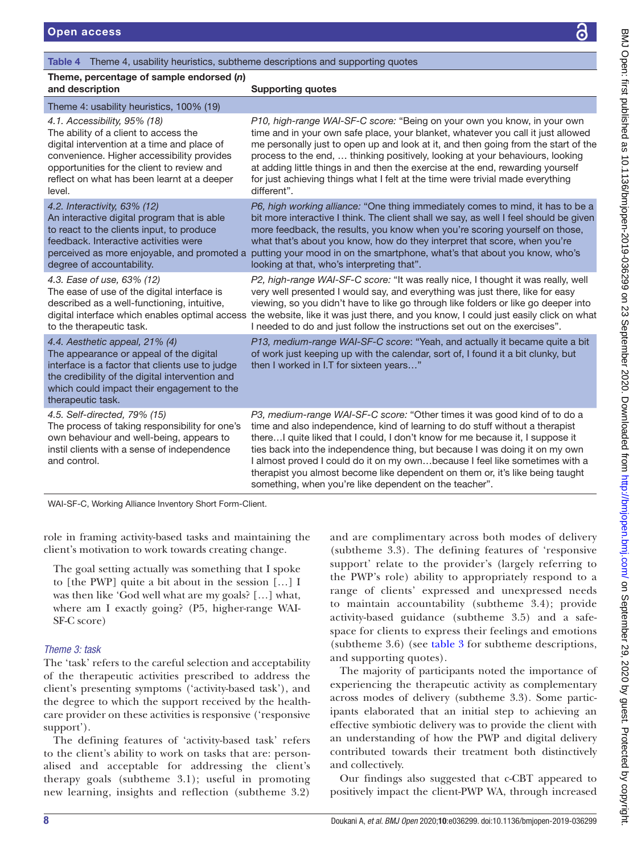### <span id="page-8-0"></span>Table 4 Theme 4, usability heuristics, subtheme descriptions and supporting quotes

| Theme, percentage of sample endorsed (n)<br>and description                                                                                                                                                                                                               | <b>Supporting quotes</b>                                                                                                                                                                                                                                                                                                                                                                                                                                                                                                                             |
|---------------------------------------------------------------------------------------------------------------------------------------------------------------------------------------------------------------------------------------------------------------------------|------------------------------------------------------------------------------------------------------------------------------------------------------------------------------------------------------------------------------------------------------------------------------------------------------------------------------------------------------------------------------------------------------------------------------------------------------------------------------------------------------------------------------------------------------|
| Theme 4: usability heuristics, 100% (19)                                                                                                                                                                                                                                  |                                                                                                                                                                                                                                                                                                                                                                                                                                                                                                                                                      |
| 4.1. Accessibility, 95% (18)<br>The ability of a client to access the<br>digital intervention at a time and place of<br>convenience. Higher accessibility provides<br>opportunities for the client to review and<br>reflect on what has been learnt at a deeper<br>level. | P10, high-range WAI-SF-C score: "Being on your own you know, in your own<br>time and in your own safe place, your blanket, whatever you call it just allowed<br>me personally just to open up and look at it, and then going from the start of the<br>process to the end,  thinking positively, looking at your behaviours, looking<br>at adding little things in and then the exercise at the end, rewarding yourself<br>for just achieving things what I felt at the time were trivial made everything<br>different".                              |
| 4.2. Interactivity, 63% (12)<br>An interactive digital program that is able<br>to react to the clients input, to produce<br>feedback. Interactive activities were<br>degree of accountability.                                                                            | P6, high working alliance: "One thing immediately comes to mind, it has to be a<br>bit more interactive I think. The client shall we say, as well I feel should be given<br>more feedback, the results, you know when you're scoring yourself on those,<br>what that's about you know, how do they interpret that score, when you're<br>perceived as more enjoyable, and promoted a putting your mood in on the smartphone, what's that about you know, who's<br>looking at that, who's interpreting that".                                          |
| 4.3. Ease of use, 63% (12)<br>The ease of use of the digital interface is<br>described as a well-functioning, intuitive,<br>to the therapeutic task.                                                                                                                      | P2, high-range WAI-SF-C score: "It was really nice, I thought it was really, well<br>very well presented I would say, and everything was just there, like for easy<br>viewing, so you didn't have to like go through like folders or like go deeper into<br>digital interface which enables optimal access the website, like it was just there, and you know, I could just easily click on what<br>I needed to do and just follow the instructions set out on the exercises".                                                                        |
| 4.4. Aesthetic appeal, 21% (4)<br>The appearance or appeal of the digital<br>interface is a factor that clients use to judge<br>the credibility of the digital intervention and<br>which could impact their engagement to the<br>therapeutic task.                        | P13, medium-range WAI-SF-C score: "Yeah, and actually it became quite a bit<br>of work just keeping up with the calendar, sort of, I found it a bit clunky, but<br>then I worked in I.T for sixteen years"                                                                                                                                                                                                                                                                                                                                           |
| 4.5. Self-directed, 79% (15)<br>The process of taking responsibility for one's<br>own behaviour and well-being, appears to<br>instil clients with a sense of independence<br>and control.                                                                                 | P3, medium-range WAI-SF-C score: "Other times it was good kind of to do a<br>time and also independence, kind of learning to do stuff without a therapist<br>there I quite liked that I could, I don't know for me because it, I suppose it<br>ties back into the independence thing, but because I was doing it on my own<br>I almost proved I could do it on my ownbecause I feel like sometimes with a<br>therapist you almost become like dependent on them or, it's like being taught<br>something, when you're like dependent on the teacher". |

WAI-SF-C, Working Alliance Inventory Short Form-Client.

role in framing activity-based tasks and maintaining the client's motivation to work towards creating change.

The goal setting actually was something that I spoke to [the PWP] quite a bit about in the session […] I was then like 'God well what are my goals? […] what, where am I exactly going? (P5, higher-range WAI-SF-C score)

### *Theme 3: task*

The 'task' refers to the careful selection and acceptability of the therapeutic activities prescribed to address the client's presenting symptoms ('activity-based task'), and the degree to which the support received by the healthcare provider on these activities is responsive ('responsive support').

The defining features of 'activity-based task' refers to the client's ability to work on tasks that are: personalised and acceptable for addressing the client's therapy goals (subtheme 3.1); useful in promoting new learning, insights and reflection (subtheme 3.2)

and are complimentary across both modes of delivery (subtheme 3.3). The defining features of 'responsive support' relate to the provider's (largely referring to the PWP's role) ability to appropriately respond to a range of clients' expressed and unexpressed needs to maintain accountability (subtheme 3.4); provide activity-based guidance (subtheme 3.5) and a safespace for clients to express their feelings and emotions (subtheme 3.6) (see [table](#page-7-0) 3 for subtheme descriptions, and supporting quotes).

The majority of participants noted the importance of experiencing the therapeutic activity as complementary across modes of delivery (subtheme 3.3). Some participants elaborated that an initial step to achieving an effective symbiotic delivery was to provide the client with an understanding of how the PWP and digital delivery contributed towards their treatment both distinctively and collectively.

Our findings also suggested that c-CBT appeared to positively impact the client-PWP WA, through increased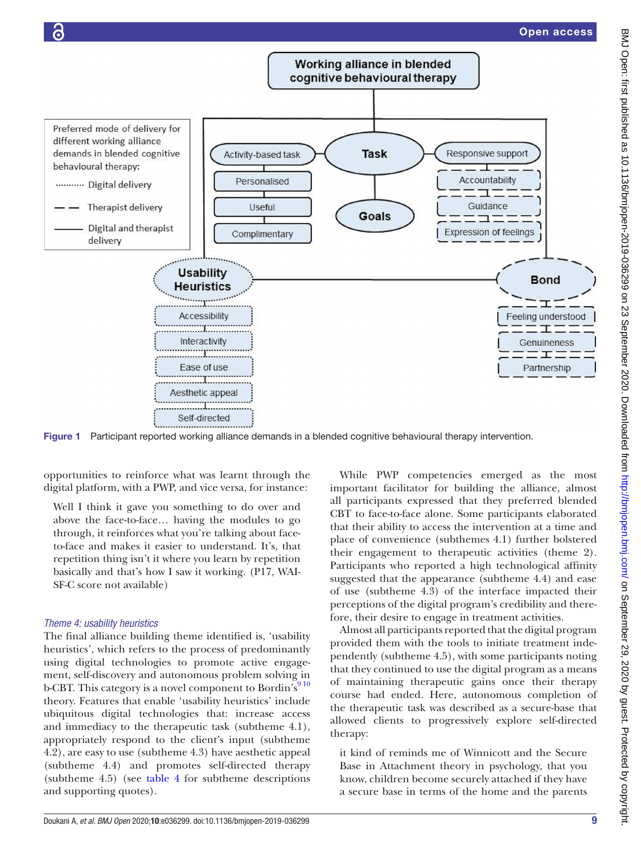

<span id="page-9-0"></span>Figure 1 Participant reported working alliance demands in a blended cognitive behavioural therapy intervention.

opportunities to reinforce what was learnt through the digital platform, with a PWP, and vice versa, for instance:

Well I think it gave you something to do over and above the face-to-face… having the modules to go through, it reinforces what you're talking about faceto-face and makes it easier to understand. It's, that repetition thing isn't it where you learn by repetition basically and that's how I saw it working. (P17, WAI-SF-C score not available)

### *Theme 4: usability heuristics*

The final alliance building theme identified is, 'usability heuristics', which refers to the process of predominantly using digital technologies to promote active engagement, self-discovery and autonomous problem solving in b-CBT. This category is a novel component to Bordin's<sup>910</sup> theory. Features that enable 'usability heuristics' include ubiquitous digital technologies that: increase access and immediacy to the therapeutic task (subtheme 4.1), appropriately respond to the client's input (subtheme 4.2), are easy to use (subtheme 4.3) have aesthetic appeal (subtheme 4.4) and promotes self-directed therapy (subtheme 4.5) (see [table](#page-8-0) 4 for subtheme descriptions and supporting quotes).

While PWP competencies emerged as the most important facilitator for building the alliance, almost all participants expressed that they preferred blended CBT to face-to-face alone. Some participants elaborated that their ability to access the intervention at a time and place of convenience (subthemes 4.1) further bolstered their engagement to therapeutic activities (theme 2). Participants who reported a high technological affinity suggested that the appearance (subtheme 4.4) and ease of use (subtheme 4.3) of the interface impacted their perceptions of the digital program's credibility and therefore, their desire to engage in treatment activities.

Almost all participants reported that the digital program provided them with the tools to initiate treatment independently (subtheme 4.5), with some participants noting that they continued to use the digital program as a means of maintaining therapeutic gains once their therapy course had ended. Here, autonomous completion of the therapeutic task was described as a secure-base that allowed clients to progressively explore self-directed therapy:

it kind of reminds me of Winnicott and the Secure Base in Attachment theory in psychology, that you know, children become securely attached if they have a secure base in terms of the home and the parents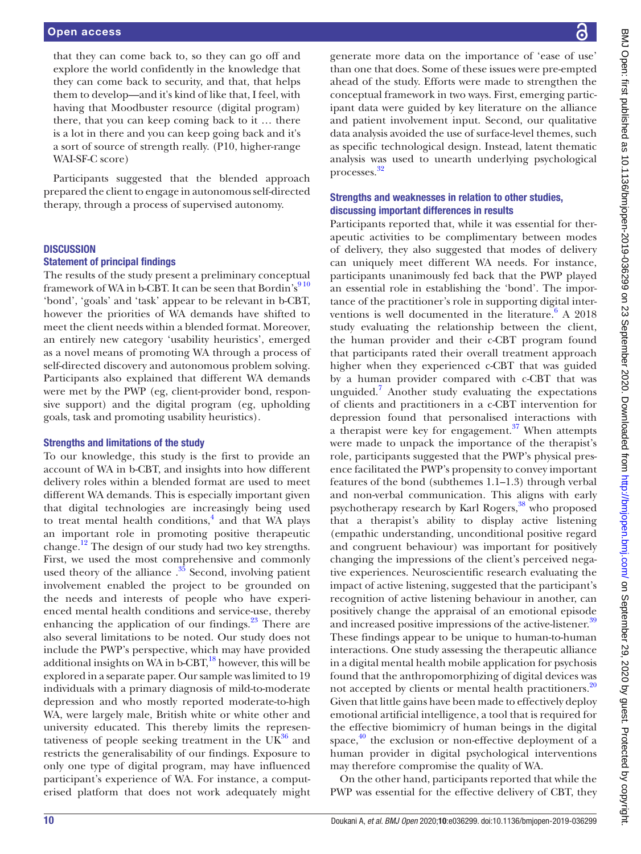that they can come back to, so they can go off and explore the world confidently in the knowledge that they can come back to security, and that, that helps them to develop—and it's kind of like that, I feel, with having that Moodbuster resource (digital program) there, that you can keep coming back to it … there is a lot in there and you can keep going back and it's a sort of source of strength really. (P10, higher-range WAI-SF-C score)

Participants suggested that the blended approach prepared the client to engage in autonomous self-directed therapy, through a process of supervised autonomy.

### **DISCUSSION**

### Statement of principal findings

The results of the study present a preliminary conceptual framework of WA in b-CBT. It can be seen that Bordin's $910$ 'bond', 'goals' and 'task' appear to be relevant in b-CBT, however the priorities of WA demands have shifted to meet the client needs within a blended format. Moreover, an entirely new category 'usability heuristics', emerged as a novel means of promoting WA through a process of self-directed discovery and autonomous problem solving. Participants also explained that different WA demands were met by the PWP (eg, client-provider bond, responsive support) and the digital program (eg, upholding goals, task and promoting usability heuristics).

### Strengths and limitations of the study

To our knowledge, this study is the first to provide an account of WA in b-CBT, and insights into how different delivery roles within a blended format are used to meet different WA demands. This is especially important given that digital technologies are increasingly being used to treat mental health conditions,<sup>[4](#page-12-2)</sup> and that WA plays an important role in promoting positive therapeutic change.[12](#page-12-8) The design of our study had two key strengths. First, we used the most comprehensive and commonly used theory of the alliance  $.^{35}$  Second, involving patient involvement enabled the project to be grounded on the needs and interests of people who have experienced mental health conditions and service-use, thereby enhancing the application of our findings. $23$  There are also several limitations to be noted. Our study does not include the PWP's perspective, which may have provided additional insights on WA in b-CBT,<sup>18</sup> however, this will be explored in a separate paper. Our sample was limited to 19 individuals with a primary diagnosis of mild-to-moderate depression and who mostly reported moderate-to-high WA, were largely male, British white or white other and university educated. This thereby limits the representativeness of people seeking treatment in the  $UK^{36}$  and restricts the generalisability of our findings. Exposure to only one type of digital program, may have influenced participant's experience of WA. For instance, a computerised platform that does not work adequately might

generate more data on the importance of 'ease of use' than one that does. Some of these issues were pre-empted ahead of the study. Efforts were made to strengthen the conceptual framework in two ways. First, emerging participant data were guided by key literature on the alliance and patient involvement input. Second, our qualitative data analysis avoided the use of surface-level themes, such as specific technological design. Instead, latent thematic analysis was used to unearth underlying psychological processes[.32](#page-13-10)

### Strengths and weaknesses in relation to other studies, discussing important differences in results

Participants reported that, while it was essential for therapeutic activities to be complimentary between modes of delivery, they also suggested that modes of delivery can uniquely meet different WA needs. For instance, participants unanimously fed back that the PWP played an essential role in establishing the 'bond'. The importance of the practitioner's role in supporting digital interventions is well documented in the literature.<sup>6</sup> A 2018 study evaluating the relationship between the client, the human provider and their c-CBT program found that participants rated their overall treatment approach higher when they experienced c-CBT that was guided by a human provider compared with c-CBT that was unguided.[7](#page-12-4) Another study evaluating the expectations of clients and practitioners in a c-CBT intervention for depression found that personalised interactions with a therapist were key for engagement. $37$  When attempts were made to unpack the importance of the therapist's role, participants suggested that the PWP's physical presence facilitated the PWP's propensity to convey important features of the bond (subthemes 1.1–1.3) through verbal and non-verbal communication. This aligns with early psychotherapy research by Karl Rogers,<sup>[38](#page-13-16)</sup> who proposed that a therapist's ability to display active listening (empathic understanding, unconditional positive regard and congruent behaviour) was important for positively changing the impressions of the client's perceived negative experiences. Neuroscientific research evaluating the impact of active listening, suggested that the participant's recognition of active listening behaviour in another, can positively change the appraisal of an emotional episode and increased positive impressions of the active-listener.<sup>[39](#page-13-17)</sup> These findings appear to be unique to human-to-human interactions. One study assessing the therapeutic alliance in a digital mental health mobile application for psychosis found that the anthropomorphizing of digital devices was not accepted by clients or mental health practitioners.<sup>[20](#page-12-15)</sup> Given that little gains have been made to effectively deploy emotional artificial intelligence, a tool that is required for the effective biomimicry of human beings in the digital space,<sup>[40](#page-13-18)</sup> the exclusion or non-effective deployment of a human provider in digital psychological interventions may therefore compromise the quality of WA.

On the other hand, participants reported that while the PWP was essential for the effective delivery of CBT, they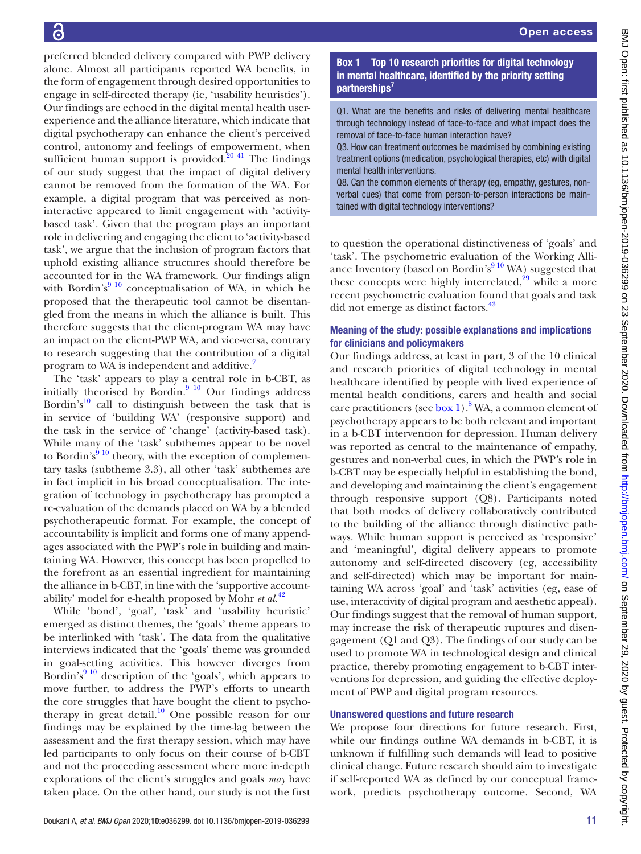preferred blended delivery compared with PWP delivery alone. Almost all participants reported WA benefits, in the form of engagement through desired opportunities to engage in self-directed therapy (ie, 'usability heuristics'). Our findings are echoed in the digital mental health userexperience and the alliance literature, which indicate that digital psychotherapy can enhance the client's perceived control, autonomy and feelings of empowerment, when sufficient human support is provided.<sup>20 41</sup> The findings of our study suggest that the impact of digital delivery cannot be removed from the formation of the WA. For example, a digital program that was perceived as noninteractive appeared to limit engagement with 'activitybased task'. Given that the program plays an important role in delivering and engaging the client to 'activity-based task', we argue that the inclusion of program factors that uphold existing alliance structures should therefore be accounted for in the WA framework. Our findings align with Bordin's $9^{10}$  conceptualisation of WA, in which he proposed that the therapeutic tool cannot be disentangled from the means in which the alliance is built. This therefore suggests that the client-program WA may have an impact on the client-PWP WA, and vice-versa, contrary to research suggesting that the contribution of a digital program to WA is independent and additive.<sup>7</sup>

The 'task' appears to play a central role in b-CBT, as initially theorised by Bordin. $910$  Our findings address Bordin's<sup>10</sup> call to distinguish between the task that is in service of 'building WA' (responsive support) and the task in the service of 'change' (activity-based task). While many of the 'task' subthemes appear to be novel to Bordin's<sup>9 10</sup> theory, with the exception of complementary tasks (subtheme 3.3), all other 'task' subthemes are in fact implicit in his broad conceptualisation. The integration of technology in psychotherapy has prompted a re-evaluation of the demands placed on WA by a blended psychotherapeutic format. For example, the concept of accountability is implicit and forms one of many appendages associated with the PWP's role in building and maintaining WA. However, this concept has been propelled to the forefront as an essential ingredient for maintaining the alliance in b-CBT, in line with the 'supportive accountability' model for e-health proposed by Mohr *et al*. [42](#page-13-19)

While 'bond', 'goal', 'task' and 'usability heuristic' emerged as distinct themes, the 'goals' theme appears to be interlinked with 'task'. The data from the qualitative interviews indicated that the 'goals' theme was grounded in goal-setting activities. This however diverges from Bordin's<sup>[9 10](#page-12-5)</sup> description of the 'goals', which appears to move further, to address the PWP's efforts to unearth the core struggles that have bought the client to psychotherapy in great detail.<sup>10</sup> One possible reason for our findings may be explained by the time-lag between the assessment and the first therapy session, which may have led participants to only focus on their course of b-CBT and not the proceeding assessment where more in-depth explorations of the client's struggles and goals *may* have taken place. On the other hand, our study is not the first

Box 1 Top 10 research priorities for digital technology in mental healthcare, identified by the priority setting partnerships<sup>7</sup>

<span id="page-11-0"></span>Q1. What are the benefits and risks of delivering mental healthcare through technology instead of face-to-face and what impact does the removal of face-to-face human interaction have?

Q3. How can treatment outcomes be maximised by combining existing treatment options (medication, psychological therapies, etc) with digital mental health interventions.

Q8. Can the common elements of therapy (eg, empathy, gestures, nonverbal cues) that come from person-to-person interactions be maintained with digital technology interventions?

to question the operational distinctiveness of 'goals' and 'task'. The psychometric evaluation of the Working Alliance Inventory (based on Bordin's $910$  WA) suggested that these concepts were highly interrelated, $29$  while a more recent psychometric evaluation found that goals and task did not emerge as distinct factors.<sup>[43](#page-13-20)</sup>

### Meaning of the study: possible explanations and implications for clinicians and policymakers

Our findings address, at least in part, 3 of the 10 clinical and research priorities of digital technology in mental healthcare identified by people with lived experience of mental health conditions, carers and health and social care practitioners (see [box](#page-11-0) 1). <sup>[8](#page-12-16)</sup> WA, a common element of psychotherapy appears to be both relevant and important in a b-CBT intervention for depression. Human delivery was reported as central to the maintenance of empathy, gestures and non-verbal cues, in which the PWP's role in b-CBT may be especially helpful in establishing the bond, and developing and maintaining the client's engagement through responsive support (Q8). Participants noted that both modes of delivery collaboratively contributed to the building of the alliance through distinctive pathways. While human support is perceived as 'responsive' and 'meaningful', digital delivery appears to promote autonomy and self-directed discovery (eg, accessibility and self-directed) which may be important for maintaining WA across 'goal' and 'task' activities (eg, ease of use, interactivity of digital program and aesthetic appeal). Our findings suggest that the removal of human support, may increase the risk of therapeutic ruptures and disengagement (Q1 and Q3). The findings of our study can be used to promote WA in technological design and clinical practice, thereby promoting engagement to b-CBT interventions for depression, and guiding the effective deployment of PWP and digital program resources.

### Unanswered questions and future research

We propose four directions for future research. First, while our findings outline WA demands in b-CBT, it is unknown if fulfilling such demands will lead to positive clinical change. Future research should aim to investigate if self-reported WA as defined by our conceptual framework, predicts psychotherapy outcome. Second, WA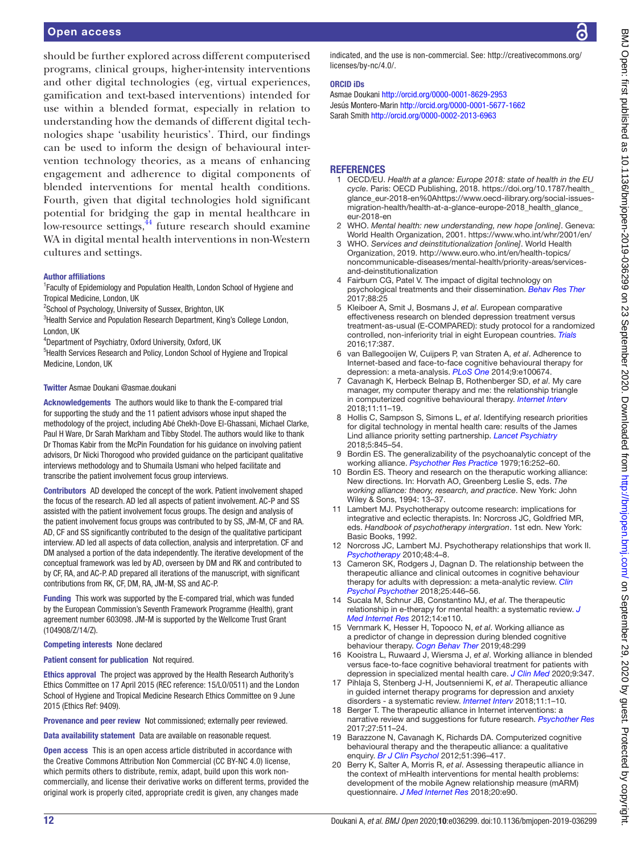### Open access

should be further explored across different computerised programs, clinical groups, higher-intensity interventions and other digital technologies (eg, virtual experiences, gamification and text-based interventions) intended for use within a blended format, especially in relation to understanding how the demands of different digital technologies shape 'usability heuristics'. Third, our findings can be used to inform the design of behavioural intervention technology theories, as a means of enhancing engagement and adherence to digital components of blended interventions for mental health conditions. Fourth, given that digital technologies hold significant potential for bridging the gap in mental healthcare in low-resource settings,<sup>44</sup> future research should examine WA in digital mental health interventions in non-Western cultures and settings.

### Author affiliations

<sup>1</sup> Faculty of Epidemiology and Population Health, London School of Hygiene and Tropical Medicine, London, UK

<sup>2</sup>School of Psychology, University of Sussex, Brighton, UK

<sup>3</sup> Health Service and Population Research Department, King's College London, London, UK

4 Department of Psychiatry, Oxford University, Oxford, UK

<sup>5</sup>Health Services Research and Policy, London School of Hygiene and Tropical Medicine, London, UK

### Twitter Asmae Doukani [@asmae.doukani](https://twitter.com/asmae.doukani)

Acknowledgements The authors would like to thank the E-compared trial for supporting the study and the 11 patient advisors whose input shaped the methodology of the project, including Abé Chekh-Dove El-Ghassani, Michael Clarke, Paul H Ware, Dr Sarah Markham and Tibby Stodel. The authors would like to thank Dr Thomas Kabir from the McPin Foundation for his guidance on involving patient advisors, Dr Nicki Thorogood who provided guidance on the participant qualitative interviews methodology and to Shumaila Usmani who helped facilitate and transcribe the patient involvement focus group interviews.

Contributors AD developed the concept of the work. Patient involvement shaped the focus of the research. AD led all aspects of patient involvement. AC-P and SS assisted with the patient involvement focus groups. The design and analysis of the patient involvement focus groups was contributed to by SS, JM-M, CF and RA. AD, CF and SS significantly contributed to the design of the qualitative participant interview. AD led all aspects of data collection, analysis and interpretation. CF and DM analysed a portion of the data independently. The iterative development of the conceptual framework was led by AD, overseen by DM and RK and contributed to by CF, RA, and AC-P. AD prepared all iterations of the manuscript, with significant contributions from RK, CF, DM, RA, JM-M, SS and AC-P.

Funding This work was supported by the E-compared trial, which was funded by the European Commission's Seventh Framework Programme (Health), grant agreement number 603098. JM-M is supported by the Wellcome Trust Grant (104908/Z/14/Z).

### Competing interests None declared

Patient consent for publication Not required.

Ethics approval The project was approved by the Health Research Authority's Ethics Committee on 17 April 2015 (REC reference: 15/LO/0511) and the London School of Hygiene and Tropical Medicine Research Ethics Committee on 9 June 2015 (Ethics Ref: 9409).

Provenance and peer review Not commissioned; externally peer reviewed.

Data availability statement Data are available on reasonable request.

Open access This is an open access article distributed in accordance with the Creative Commons Attribution Non Commercial (CC BY-NC 4.0) license, which permits others to distribute, remix, adapt, build upon this work noncommercially, and license their derivative works on different terms, provided the original work is properly cited, appropriate credit is given, any changes made

indicated, and the use is non-commercial. See: [http://creativecommons.org/](http://creativecommons.org/licenses/by-nc/4.0/) [licenses/by-nc/4.0/](http://creativecommons.org/licenses/by-nc/4.0/).

### ORCID iDs

Asmae Doukani<http://orcid.org/0000-0001-8629-2953> Jesús Montero-Marin<http://orcid.org/0000-0001-5677-1662> Sarah Smith<http://orcid.org/0000-0002-2013-6963>

### **REFERENCES**

- <span id="page-12-0"></span>1 OECD/EU. *Health at a glance: Europe 2018: state of health in the EU cycle*. Paris: OECD Publishing, 2018. [https://doi.org/10.1787/health\\_](https://doi.org/10.1787/health_glance_eur-2018-en%0Ahttps://www.oecd-ilibrary.org/social-issues-migration-health/health-at-a-glance-europe-2018_health_glance_eur-2018-en) [glance\\_eur-2018-en%0Ahttps://www.oecd-ilibrary.org/social-issues](https://doi.org/10.1787/health_glance_eur-2018-en%0Ahttps://www.oecd-ilibrary.org/social-issues-migration-health/health-at-a-glance-europe-2018_health_glance_eur-2018-en)[migration-health/health-at-a-glance-europe-2018\\_health\\_glance\\_](https://doi.org/10.1787/health_glance_eur-2018-en%0Ahttps://www.oecd-ilibrary.org/social-issues-migration-health/health-at-a-glance-europe-2018_health_glance_eur-2018-en) [eur-2018-en](https://doi.org/10.1787/health_glance_eur-2018-en%0Ahttps://www.oecd-ilibrary.org/social-issues-migration-health/health-at-a-glance-europe-2018_health_glance_eur-2018-en)
- <span id="page-12-1"></span>2 WHO. *Mental health: new understanding, new hope [online]*. Geneva: World Health Organization, 2001.<https://www.who.int/whr/2001/en/>
- 3 WHO. *Services and deinstitutionalization [online]*. World Health Organization, 2019. [http://www.euro.who.int/en/health-topics/](http://www.euro.who.int/en/health-topics/noncommunicable-diseases/mental-health/priority-areas/services-and-deinstitutionalization) [noncommunicable-diseases/mental-health/priority-areas/services](http://www.euro.who.int/en/health-topics/noncommunicable-diseases/mental-health/priority-areas/services-and-deinstitutionalization)[and-deinstitutionalization](http://www.euro.who.int/en/health-topics/noncommunicable-diseases/mental-health/priority-areas/services-and-deinstitutionalization)
- <span id="page-12-2"></span>4 Fairburn CG, Patel V. The impact of digital technology on psychological treatments and their dissemination. *[Behav Res Ther](http://dx.doi.org/10.1016/j.brat.2016.08.012)* 2017;88:25
- <span id="page-12-14"></span>5 Kleiboer A, Smit J, Bosmans J, *et al*. European comparative effectiveness research on blended depression treatment versus treatment-as-usual (E-COMPARED): study protocol for a randomized controlled, non-inferiority trial in eight European countries. *[Trials](http://dx.doi.org/10.1186/s13063-016-1511-1)* 2016;17:387.
- <span id="page-12-3"></span>6 van Ballegooijen W, Cuijpers P, van Straten A, *et al*. Adherence to Internet-based and face-to-face cognitive behavioural therapy for depression: a meta-analysis. *[PLoS One](http://dx.doi.org/10.1371/journal.pone.0100674)* 2014;9:e100674.
- <span id="page-12-4"></span>7 Cavanagh K, Herbeck Belnap B, Rothenberger SD, *et al*. My care manager, my computer therapy and me: the relationship triangle in computerized cognitive behavioural therapy. *[Internet Interv](http://dx.doi.org/10.1016/j.invent.2017.10.005)* 2018;11:11–19.
- <span id="page-12-16"></span>8 Hollis C, Sampson S, Simons L, *et al*. Identifying research priorities for digital technology in mental health care: results of the James Lind alliance priority setting partnership. *[Lancet Psychiatry](http://dx.doi.org/10.1016/S2215-0366(18)30296-7)* 2018;5:845–54.
- <span id="page-12-5"></span>9 Bordin ES. The generalizability of the psychoanalytic concept of the working alliance. *[Psychother Res Practice](http://dx.doi.org/10.1037/h0085885)* 1979;16:252–60.
- <span id="page-12-6"></span>10 Bordin ES. Theory and research on the theraputic working alliance: New directions. In: Horvath AO, Greenberg Leslie S, eds. *The working alliance: theory, research, and practice*. New York: John Wiley & Sons, 1994: 13–37.
- <span id="page-12-7"></span>11 Lambert MJ. Psychotherapy outcome research: implications for integrative and eclectic therapists. In: Norcross JC, Goldfried MR, eds. *Handbook of psychotherapy intergration*. 1st edn. New York: Basic Books, 1992.
- <span id="page-12-8"></span>12 Norcross JC, Lambert MJ. Psychotherapy relationships that work II. *[Psychotherapy](http://dx.doi.org/10.1037/a0022180)* 2010;48:4–8.
- <span id="page-12-9"></span>13 Cameron SK, Rodgers J, Dagnan D. The relationship between the therapeutic alliance and clinical outcomes in cognitive behaviour therapy for adults with depression: a meta-analytic review. *[Clin](http://dx.doi.org/10.1002/cpp.2180)  [Psychol Psychother](http://dx.doi.org/10.1002/cpp.2180)* 2018;25:446–56.
- <span id="page-12-10"></span>14 Sucala M, Schnur JB, Constantino MJ, *et al*. The therapeutic relationship in e-therapy for mental health: a systematic review. *[J](http://dx.doi.org/10.2196/jmir.2084)  [Med Internet Res](http://dx.doi.org/10.2196/jmir.2084)* 2012;14:e110.
- 15 Vernmark K, Hesser H, Topooco N, *et al*. Working alliance as a predictor of change in depression during blended cognitive behaviour therapy. *[Cogn Behav Ther](http://dx.doi.org/10.1080/16506073.2018.1533577)* 2019;48:299
- 16 Kooistra L, Ruwaard J, Wiersma J, *et al*. Working alliance in blended versus face-to-face cognitive behavioral treatment for patients with depression in specialized mental health care. *[J Clin Med](http://dx.doi.org/10.3390/jcm9020347)* 2020;9:347.
- <span id="page-12-11"></span>17 Pihlaja S, Stenberg J-H, Joutsenniemi K, *et al*. Therapeutic alliance in guided internet therapy programs for depression and anxiety disorders - a systematic review. *[Internet Interv](http://dx.doi.org/10.1016/j.invent.2017.11.005)* 2018;11:1–10.
- <span id="page-12-12"></span>18 Berger T. The therapeutic alliance in Internet interventions: a narrative review and suggestions for future research. *[Psychother Res](http://dx.doi.org/10.1080/10503307.2015.1119908)* 2017;27:511–24.
- <span id="page-12-13"></span>19 Barazzone N, Cavanagh K, Richards DA. Computerized cognitive behavioural therapy and the therapeutic alliance: a qualitative enquiry. *[Br J Clin Psychol](http://dx.doi.org/10.1111/j.2044-8260.2012.02035.x)* 2012;51:396–417.
- <span id="page-12-15"></span>20 Berry K, Salter A, Morris R, *et al*. Assessing therapeutic alliance in the context of mHealth interventions for mental health problems: development of the mobile Agnew relationship measure (mARM) questionnaire. *[J Med Internet Res](http://dx.doi.org/10.2196/jmir.8252)* 2018;20:e90.